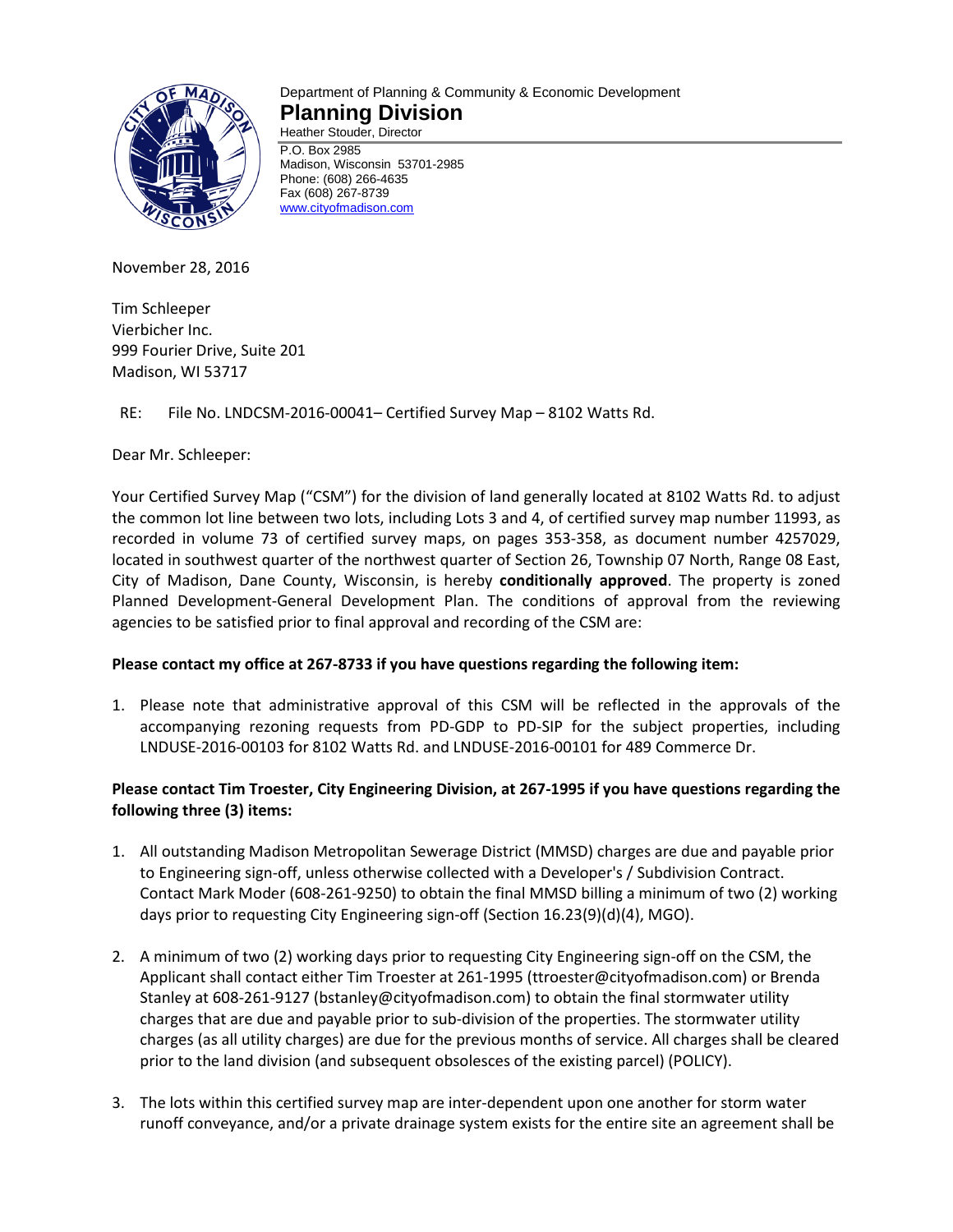

# Department of Planning & Community & Economic Development **Planning Division**

Heather Stouder, Director

P.O. Box 2985 Madison, Wisconsin 53701-2985 Phone: (608) 266-4635 Fax (608) 267-8739 [www.cityofmadison.com](http://www.cityofmadison.com/)

November 28, 2016

Tim Schleeper Vierbicher Inc. 999 Fourier Drive, Suite 201 Madison, WI 53717

RE: File No. LNDCSM-2016-00041– Certified Survey Map – 8102 Watts Rd.

Dear Mr. Schleeper:

Your Certified Survey Map ("CSM") for the division of land generally located at 8102 Watts Rd. to adjust the common lot line between two lots, including Lots 3 and 4, of certified survey map number 11993, as recorded in volume 73 of certified survey maps, on pages 353-358, as document number 4257029, located in southwest quarter of the northwest quarter of Section 26, Township 07 North, Range 08 East, City of Madison, Dane County, Wisconsin, is hereby **conditionally approved**. The property is zoned Planned Development-General Development Plan. The conditions of approval from the reviewing agencies to be satisfied prior to final approval and recording of the CSM are:

# **Please contact my office at 267-8733 if you have questions regarding the following item:**

1. Please note that administrative approval of this CSM will be reflected in the approvals of the accompanying rezoning requests from PD-GDP to PD-SIP for the subject properties, including LNDUSE-2016-00103 for 8102 Watts Rd. and LNDUSE-2016-00101 for 489 Commerce Dr.

# **Please contact Tim Troester, City Engineering Division, at 267-1995 if you have questions regarding the following three (3) items:**

- 1. All outstanding Madison Metropolitan Sewerage District (MMSD) charges are due and payable prior to Engineering sign-off, unless otherwise collected with a Developer's / Subdivision Contract. Contact Mark Moder (608-261-9250) to obtain the final MMSD billing a minimum of two (2) working days prior to requesting City Engineering sign-off (Section 16.23(9)(d)(4), MGO).
- 2. A minimum of two (2) working days prior to requesting City Engineering sign-off on the CSM, the Applicant shall contact either Tim Troester at 261-1995 (ttroester@cityofmadison.com) or Brenda Stanley at 608-261-9127 (bstanley@cityofmadison.com) to obtain the final stormwater utility charges that are due and payable prior to sub-division of the properties. The stormwater utility charges (as all utility charges) are due for the previous months of service. All charges shall be cleared prior to the land division (and subsequent obsolesces of the existing parcel) (POLICY).
- 3. The lots within this certified survey map are inter-dependent upon one another for storm water runoff conveyance, and/or a private drainage system exists for the entire site an agreement shall be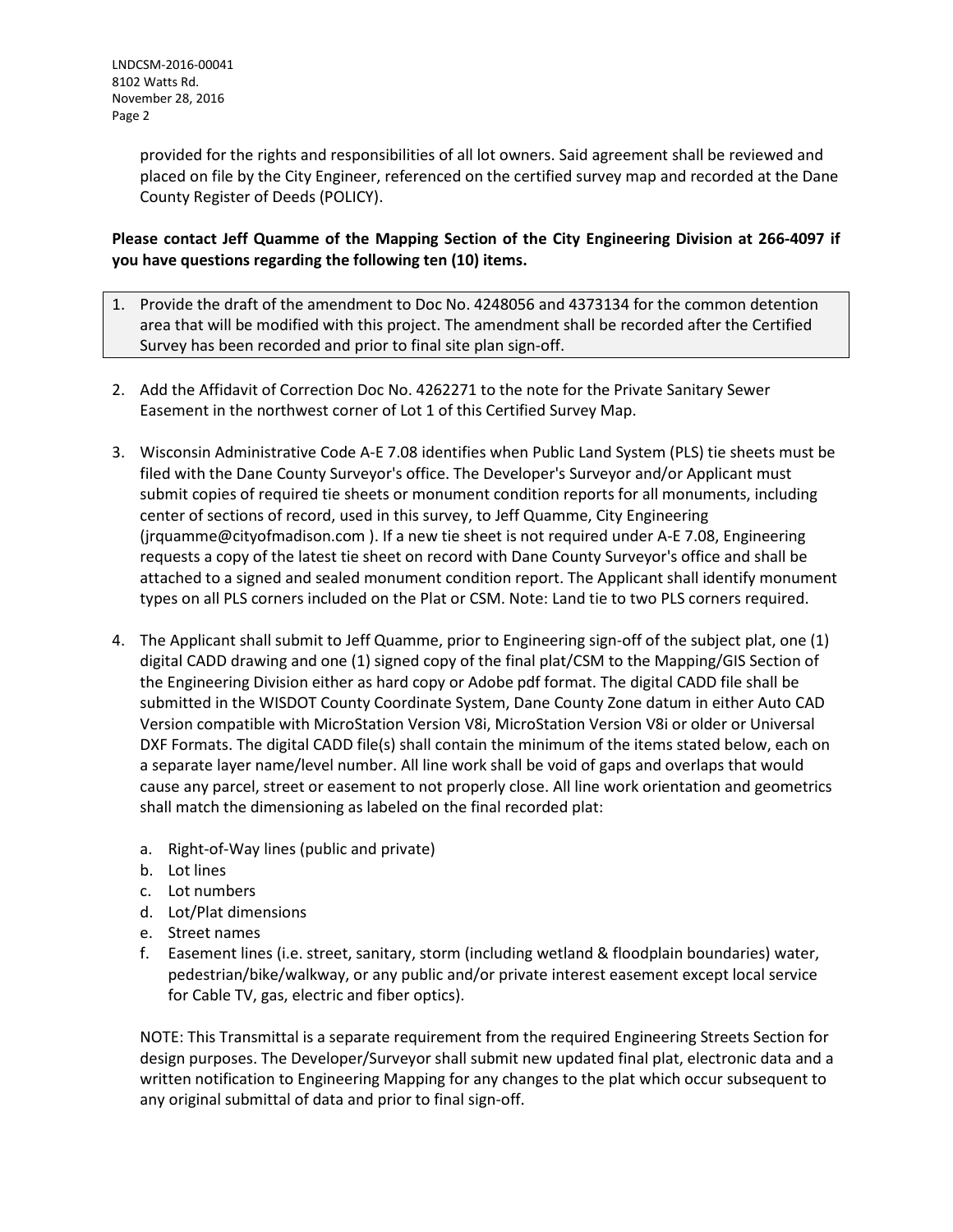provided for the rights and responsibilities of all lot owners. Said agreement shall be reviewed and placed on file by the City Engineer, referenced on the certified survey map and recorded at the Dane County Register of Deeds (POLICY).

# **Please contact Jeff Quamme of the Mapping Section of the City Engineering Division at 266-4097 if you have questions regarding the following ten (10) items.**

- 1. Provide the draft of the amendment to Doc No. 4248056 and 4373134 for the common detention area that will be modified with this project. The amendment shall be recorded after the Certified Survey has been recorded and prior to final site plan sign-off.
- 2. Add the Affidavit of Correction Doc No. 4262271 to the note for the Private Sanitary Sewer Easement in the northwest corner of Lot 1 of this Certified Survey Map.
- 3. Wisconsin Administrative Code A-E 7.08 identifies when Public Land System (PLS) tie sheets must be filed with the Dane County Surveyor's office. The Developer's Surveyor and/or Applicant must submit copies of required tie sheets or monument condition reports for all monuments, including center of sections of record, used in this survey, to Jeff Quamme, City Engineering (jrquamme@cityofmadison.com ). If a new tie sheet is not required under A-E 7.08, Engineering requests a copy of the latest tie sheet on record with Dane County Surveyor's office and shall be attached to a signed and sealed monument condition report. The Applicant shall identify monument types on all PLS corners included on the Plat or CSM. Note: Land tie to two PLS corners required.
- 4. The Applicant shall submit to Jeff Quamme, prior to Engineering sign-off of the subject plat, one (1) digital CADD drawing and one (1) signed copy of the final plat/CSM to the Mapping/GIS Section of the Engineering Division either as hard copy or Adobe pdf format. The digital CADD file shall be submitted in the WISDOT County Coordinate System, Dane County Zone datum in either Auto CAD Version compatible with MicroStation Version V8i, MicroStation Version V8i or older or Universal DXF Formats. The digital CADD file(s) shall contain the minimum of the items stated below, each on a separate layer name/level number. All line work shall be void of gaps and overlaps that would cause any parcel, street or easement to not properly close. All line work orientation and geometrics shall match the dimensioning as labeled on the final recorded plat:
	- a. Right-of-Way lines (public and private)
	- b. Lot lines
	- c. Lot numbers
	- d. Lot/Plat dimensions
	- e. Street names
	- f. Easement lines (i.e. street, sanitary, storm (including wetland & floodplain boundaries) water, pedestrian/bike/walkway, or any public and/or private interest easement except local service for Cable TV, gas, electric and fiber optics).

NOTE: This Transmittal is a separate requirement from the required Engineering Streets Section for design purposes. The Developer/Surveyor shall submit new updated final plat, electronic data and a written notification to Engineering Mapping for any changes to the plat which occur subsequent to any original submittal of data and prior to final sign-off.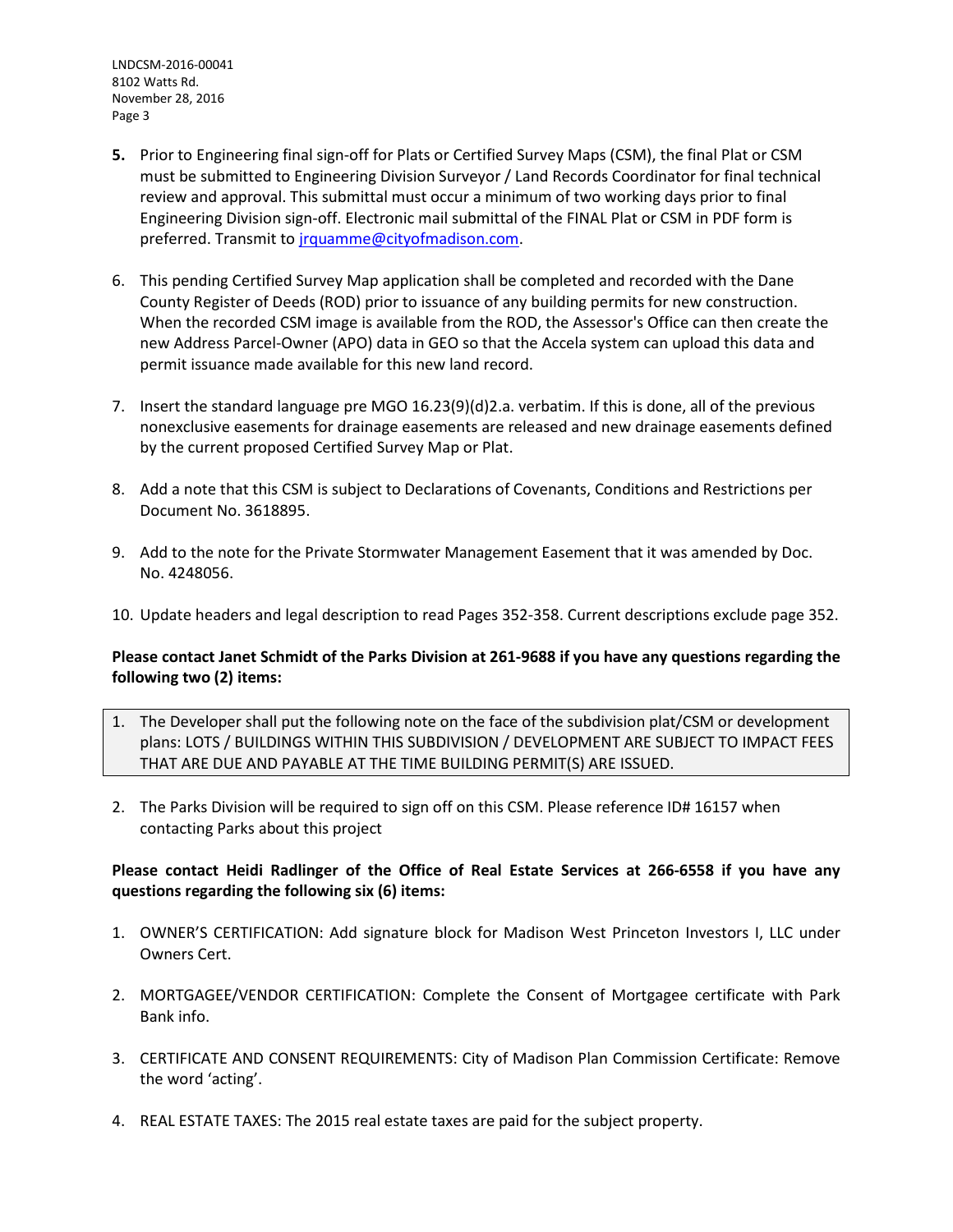LNDCSM-2016-00041 8102 Watts Rd. November 28, 2016 Page 3

- **5.** Prior to Engineering final sign-off for Plats or Certified Survey Maps (CSM), the final Plat or CSM must be submitted to Engineering Division Surveyor / Land Records Coordinator for final technical review and approval. This submittal must occur a minimum of two working days prior to final Engineering Division sign-off. Electronic mail submittal of the FINAL Plat or CSM in PDF form is preferred. Transmit to [jrquamme@cityofmadison.com.](mailto:jrquamme@cityofmadison.com)
- 6. This pending Certified Survey Map application shall be completed and recorded with the Dane County Register of Deeds (ROD) prior to issuance of any building permits for new construction. When the recorded CSM image is available from the ROD, the Assessor's Office can then create the new Address Parcel-Owner (APO) data in GEO so that the Accela system can upload this data and permit issuance made available for this new land record.
- 7. Insert the standard language pre MGO 16.23(9)(d)2.a. verbatim. If this is done, all of the previous nonexclusive easements for drainage easements are released and new drainage easements defined by the current proposed Certified Survey Map or Plat.
- 8. Add a note that this CSM is subject to Declarations of Covenants, Conditions and Restrictions per Document No. 3618895.
- 9. Add to the note for the Private Stormwater Management Easement that it was amended by Doc. No. 4248056.
- 10. Update headers and legal description to read Pages 352-358. Current descriptions exclude page 352.

### **Please contact Janet Schmidt of the Parks Division at 261-9688 if you have any questions regarding the following two (2) items:**

- 1. The Developer shall put the following note on the face of the subdivision plat/CSM or development plans: LOTS / BUILDINGS WITHIN THIS SUBDIVISION / DEVELOPMENT ARE SUBJECT TO IMPACT FEES THAT ARE DUE AND PAYABLE AT THE TIME BUILDING PERMIT(S) ARE ISSUED.
- 2. The Parks Division will be required to sign off on this CSM. Please reference ID# 16157 when contacting Parks about this project

### **Please contact Heidi Radlinger of the Office of Real Estate Services at 266-6558 if you have any questions regarding the following six (6) items:**

- 1. OWNER'S CERTIFICATION: Add signature block for Madison West Princeton Investors I, LLC under Owners Cert.
- 2. MORTGAGEE/VENDOR CERTIFICATION: Complete the Consent of Mortgagee certificate with Park Bank info.
- 3. CERTIFICATE AND CONSENT REQUIREMENTS: City of Madison Plan Commission Certificate: Remove the word 'acting'.
- 4. REAL ESTATE TAXES: The 2015 real estate taxes are paid for the subject property.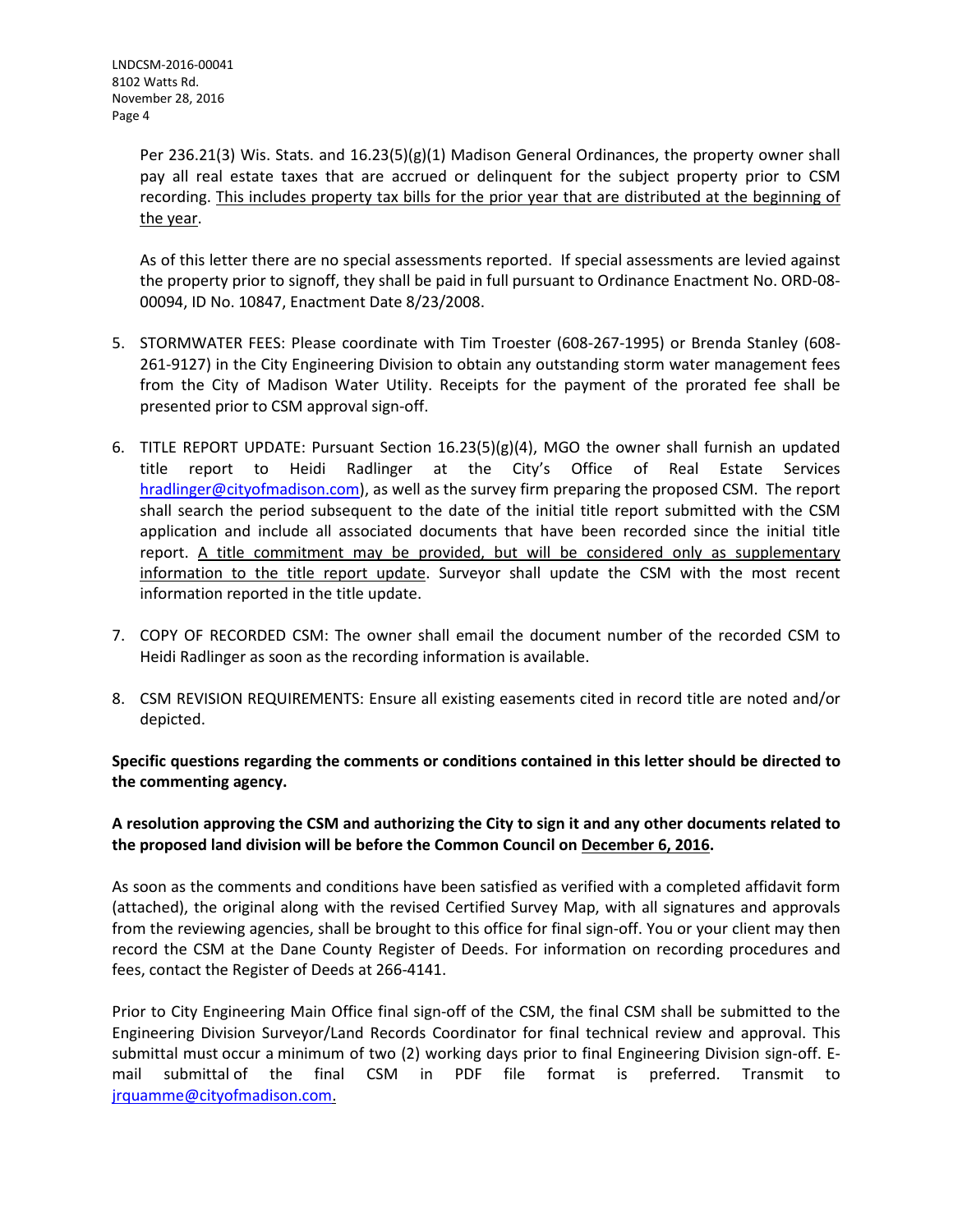LNDCSM-2016-00041 8102 Watts Rd. November 28, 2016 Page 4

> Per 236.21(3) Wis. Stats. and  $16.23(5)(g)(1)$  Madison General Ordinances, the property owner shall pay all real estate taxes that are accrued or delinquent for the subject property prior to CSM recording. This includes property tax bills for the prior year that are distributed at the beginning of the year.

> As of this letter there are no special assessments reported. If special assessments are levied against the property prior to signoff, they shall be paid in full pursuant to Ordinance Enactment No. ORD-08- 00094, ID No. 10847, Enactment Date 8/23/2008.

- 5. STORMWATER FEES: Please coordinate with Tim Troester (608-267-1995) or Brenda Stanley (608- 261-9127) in the City Engineering Division to obtain any outstanding storm water management fees from the City of Madison Water Utility. Receipts for the payment of the prorated fee shall be presented prior to CSM approval sign-off.
- 6. TITLE REPORT UPDATE: Pursuant Section 16.23(5)(g)(4), MGO the owner shall furnish an updated title report to Heidi Radlinger at the City's Office of Real Estate Services [hradlinger@cityofmadison.com\)](mailto:hradlinger@cityofmadison.com), as well as the survey firm preparing the proposed CSM. The report shall search the period subsequent to the date of the initial title report submitted with the CSM application and include all associated documents that have been recorded since the initial title report. A title commitment may be provided, but will be considered only as supplementary information to the title report update. Surveyor shall update the CSM with the most recent information reported in the title update.
- 7. COPY OF RECORDED CSM: The owner shall email the document number of the recorded CSM to Heidi Radlinger as soon as the recording information is available.
- 8. CSM REVISION REQUIREMENTS: Ensure all existing easements cited in record title are noted and/or depicted.

**Specific questions regarding the comments or conditions contained in this letter should be directed to the commenting agency.**

# **A resolution approving the CSM and authorizing the City to sign it and any other documents related to the proposed land division will be before the Common Council on December 6, 2016.**

As soon as the comments and conditions have been satisfied as verified with a completed affidavit form (attached), the original along with the revised Certified Survey Map, with all signatures and approvals from the reviewing agencies, shall be brought to this office for final sign-off. You or your client may then record the CSM at the Dane County Register of Deeds. For information on recording procedures and fees, contact the Register of Deeds at 266-4141.

Prior to City Engineering Main Office final sign-off of the CSM, the final CSM shall be submitted to the Engineering Division Surveyor/Land Records Coordinator for final technical review and approval. This submittal must occur a minimum of two (2) working days prior to final Engineering Division sign-off. Email submittal of the final CSM in PDF file format is preferred. Transmit to [jrquamme@cityofmadison.com.](mailto:jrquamme@cityofmadison.com)